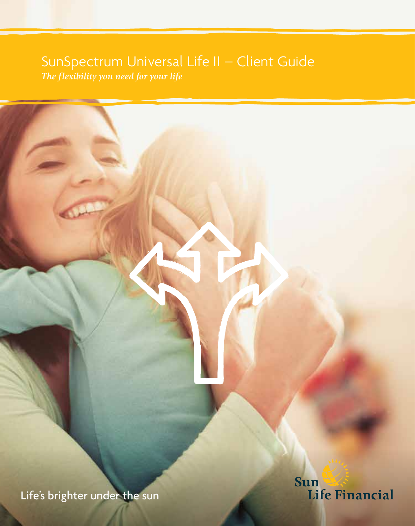#### SunSpectrum Universal Life II – Client Guide *The flexibility you need for your life*

Life's brighter under the sun

Sun **Life Financial**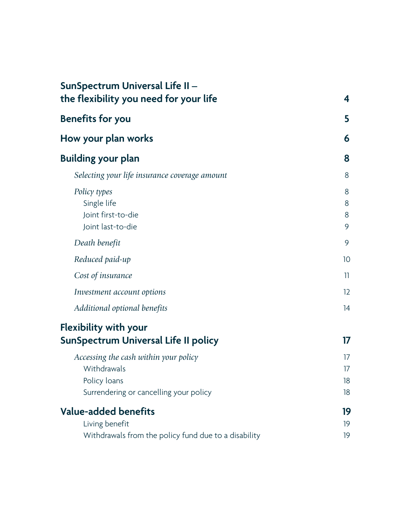| SunSpectrum Universal Life II -<br>the flexibility you need for your life   | 4                |
|-----------------------------------------------------------------------------|------------------|
| <b>Benefits for you</b>                                                     | 5                |
| How your plan works                                                         | 6                |
| <b>Building your plan</b>                                                   | 8                |
| Selecting your life insurance coverage amount                               | 8                |
| Policy types<br>Single life<br>Joint first-to-die<br>Joint last-to-die      | 8<br>8<br>8<br>9 |
| Death benefit                                                               | 9                |
| Reduced paid-up                                                             | 10               |
| Cost of insurance                                                           | 11               |
| Investment account options                                                  | 12               |
| Additional optional benefits                                                | 14               |
| <b>Flexibility with your</b><br><b>SunSpectrum Universal Life II policy</b> | 17               |
| Accessing the cash within your policy                                       | 17               |
| Withdrawals                                                                 | 17               |
| Policy loans<br>Surrendering or cancelling your policy                      | 18<br>18         |
| <b>Value-added benefits</b>                                                 | 19               |
| Living benefit                                                              | 19               |
| Withdrawals from the policy fund due to a disability                        | 19               |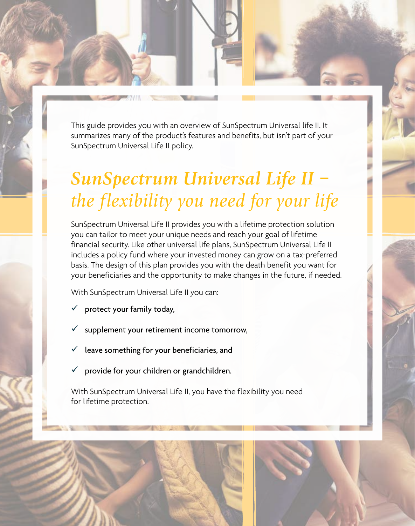This guide provides you with an overview of SunSpectrum Universal life II. It summarizes many of the product's features and benefits, but isn't part of your SunSpectrum Universal Life II policy.

# *SunSpectrum Universal Life II – the flexibility you need for your life*

SunSpectrum Universal Life II provides you with a lifetime protection solution you can tailor to meet your unique needs and reach your goal of lifetime financial security. Like other universal life plans, SunSpectrum Universal Life II includes a policy fund where your invested money can grow on a tax-preferred basis. The design of this plan provides you with the death benefit you want for your beneficiaries and the opportunity to make changes in the future, if needed.

With SunSpectrum Universal Life II you can:

- $\checkmark$  protect your family today,
- supplement your retirement income tomorrow,
- leave something for your beneficiaries, and
- provide for your children or grandchildren.

With SunSpectrum Universal Life II, you have the flexibility you need for lifetime protection.

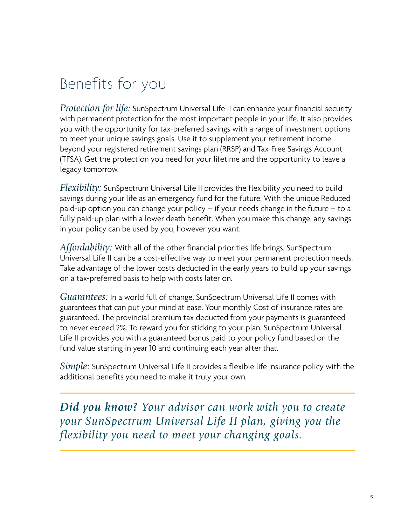### Benefits for you

*Protection for life:* SunSpectrum Universal Life II can enhance your financial security with permanent protection for the most important people in your life. It also provides you with the opportunity for tax-preferred savings with a range of investment options to meet your unique savings goals. Use it to supplement your retirement income, beyond your registered retirement savings plan (RRSP) and Tax-Free Savings Account (TFSA). Get the protection you need for your lifetime and the opportunity to leave a legacy tomorrow.

*Flexibility:* SunSpectrum Universal Life II provides the flexibility you need to build savings during your life as an emergency fund for the future. With the unique Reduced paid-up option you can change your policy – if your needs change in the future – to a fully paid-up plan with a lower death benefit. When you make this change, any savings in your policy can be used by you, however you want.

*Affordability:* With all of the other financial priorities life brings, SunSpectrum Universal Life II can be a cost-effective way to meet your permanent protection needs. Take advantage of the lower costs deducted in the early years to build up your savings on a tax-preferred basis to help with costs later on.

*Guarantees:* In a world full of change, SunSpectrum Universal Life II comes with guarantees that can put your mind at ease. Your monthly Cost of insurance rates are guaranteed. The provincial premium tax deducted from your payments is guaranteed to never exceed 2%. To reward you for sticking to your plan, SunSpectrum Universal Life II provides you with a guaranteed bonus paid to your policy fund based on the fund value starting in year 10 and continuing each year after that.

*Simple:* SunSpectrum Universal Life II provides a flexible life insurance policy with the additional benefits you need to make it truly your own.

*Did you know? Your advisor can work with you to create your SunSpectrum Universal Life II plan, giving you the flexibility you need to meet your changing goals.*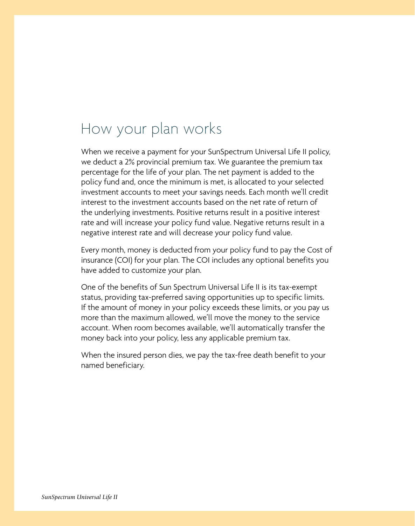### How your plan works

When we receive a payment for your SunSpectrum Universal Life II policy, we deduct a 2% provincial premium tax. We guarantee the premium tax percentage for the life of your plan. The net payment is added to the policy fund and, once the minimum is met, is allocated to your selected investment accounts to meet your savings needs. Each month we'll credit interest to the investment accounts based on the net rate of return of the underlying investments. Positive returns result in a positive interest rate and will increase your policy fund value. Negative returns result in a negative interest rate and will decrease your policy fund value.

Every month, money is deducted from your policy fund to pay the Cost of insurance (COI) for your plan. The COI includes any optional benefits you have added to customize your plan.

One of the benefits of Sun Spectrum Universal Life II is its tax-exempt status, providing tax-preferred saving opportunities up to specific limits. If the amount of money in your policy exceeds these limits, or you pay us more than the maximum allowed, we'll move the money to the service account. When room becomes available, we'll automatically transfer the money back into your policy, less any applicable premium tax.

When the insured person dies, we pay the tax-free death benefit to your named beneficiary.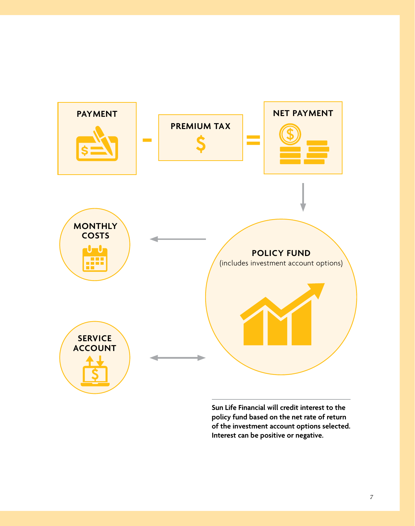

**Sun Life Financial will credit interest to the policy fund based on the net rate of return of the investment account options selected. Interest can be positive or negative.**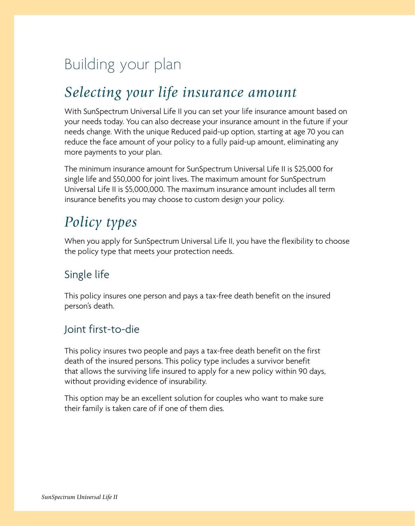## Building your plan

### *Selecting your life insurance amount*

With SunSpectrum Universal Life II you can set your life insurance amount based on your needs today. You can also decrease your insurance amount in the future if your needs change. With the unique Reduced paid-up option, starting at age 70 you can reduce the face amount of your policy to a fully paid-up amount, eliminating any more payments to your plan.

The minimum insurance amount for SunSpectrum Universal Life II is \$25,000 for single life and \$50,000 for joint lives. The maximum amount for SunSpectrum Universal Life II is \$5,000,000. The maximum insurance amount includes all term insurance benefits you may choose to custom design your policy.

### *Policy types*

When you apply for SunSpectrum Universal Life II, you have the flexibility to choose the policy type that meets your protection needs.

#### Single life

This policy insures one person and pays a tax-free death benefit on the insured person's death.

#### Joint first-to-die

This policy insures two people and pays a tax-free death benefit on the first death of the insured persons. This policy type includes a survivor benefit that allows the surviving life insured to apply for a new policy within 90 days, without providing evidence of insurability.

This option may be an excellent solution for couples who want to make sure their family is taken care of if one of them dies.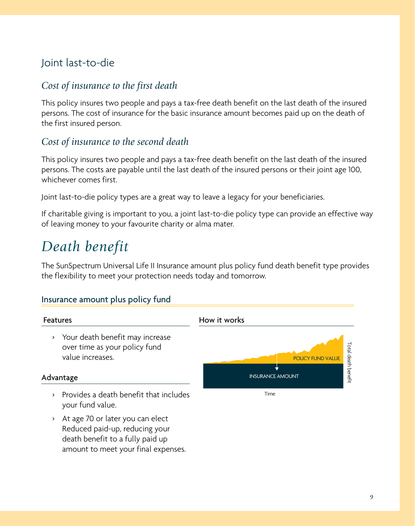#### Joint last-to-die

#### *Cost of insurance to the first death*

This policy insures two people and pays a tax-free death benefit on the last death of the insured persons. The cost of insurance for the basic insurance amount becomes paid up on the death of the first insured person.

#### *Cost of insurance to the second death*

This policy insures two people and pays a tax-free death benefit on the last death of the insured persons. The costs are payable until the last death of the insured persons or their joint age 100, whichever comes first.

Joint last-to-die policy types are a great way to leave a legacy for your beneficiaries.

If charitable giving is important to you, a joint last-to-die policy type can provide an effective way of leaving money to your favourite charity or alma mater.

### *Death benefit*

The SunSpectrum Universal Life II Insurance amount plus policy fund death benefit type provides the flexibility to meet your protection needs today and tomorrow.

#### Insurance amount plus policy fund

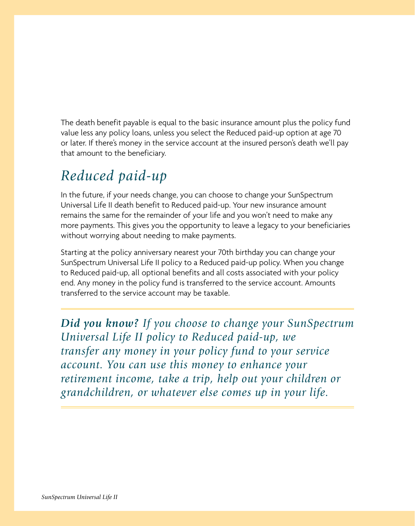The death benefit payable is equal to the basic insurance amount plus the policy fund value less any policy loans, unless you select the Reduced paid-up option at age 70 or later. If there's money in the service account at the insured person's death we'll pay that amount to the beneficiary.

### *Reduced paid-up*

In the future, if your needs change, you can choose to change your SunSpectrum Universal Life II death benefit to Reduced paid-up. Your new insurance amount remains the same for the remainder of your life and you won't need to make any more payments. This gives you the opportunity to leave a legacy to your beneficiaries without worrying about needing to make payments.

Starting at the policy anniversary nearest your 70th birthday you can change your SunSpectrum Universal Life II policy to a Reduced paid-up policy. When you change to Reduced paid-up, all optional benefits and all costs associated with your policy end. Any money in the policy fund is transferred to the service account. Amounts transferred to the service account may be taxable.

*Did you know? If you choose to change your SunSpectrum Universal Life II policy to Reduced paid-up, we transfer any money in your policy fund to your service account. You can use this money to enhance your retirement income, take a trip, help out your children or grandchildren, or whatever else comes up in your life.*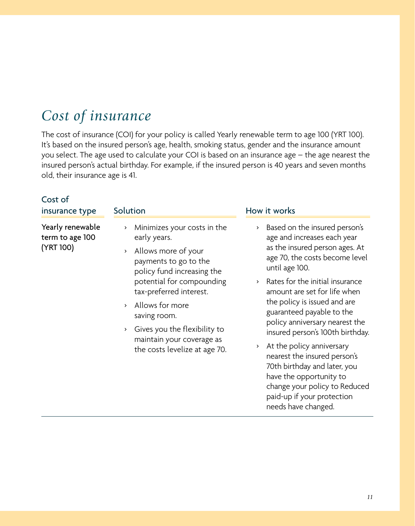### *Cost of insurance*

The cost of insurance (COI) for your policy is called Yearly renewable term to age 100 (YRT 100). It's based on the insured person's age, health, smoking status, gender and the insurance amount you select. The age used to calculate your COI is based on an insurance age – the age nearest the insured person's actual birthday. For example, if the insured person is 40 years and seven months old, their insurance age is 41.

#### Cost of

| insurance type                                   | Solution                                                                                                                                                                                                                                                                                                                  | How it works                                                                                                                                                                                                                                                                                                                                                                                                                                                                                                                                                                                                                       |
|--------------------------------------------------|---------------------------------------------------------------------------------------------------------------------------------------------------------------------------------------------------------------------------------------------------------------------------------------------------------------------------|------------------------------------------------------------------------------------------------------------------------------------------------------------------------------------------------------------------------------------------------------------------------------------------------------------------------------------------------------------------------------------------------------------------------------------------------------------------------------------------------------------------------------------------------------------------------------------------------------------------------------------|
| Yearly renewable<br>term to age 100<br>(YRT 100) | Minimizes your costs in the<br>≻<br>early years.<br>> Allows more of your<br>payments to go to the<br>policy fund increasing the<br>potential for compounding<br>tax-preferred interest.<br>Allows for more<br>saving room.<br>Gives you the flexibility to<br>maintain your coverage as<br>the costs levelize at age 70. | Based on the insured person's<br>$\left( \right)$<br>age and increases each year<br>as the insured person ages. At<br>age 70, the costs become level<br>until age 100.<br>Rates for the initial insurance<br>$\sum_{i=1}^{n}$<br>amount are set for life when<br>the policy is issued and are<br>guaranteed payable to the<br>policy anniversary nearest the<br>insured person's 100th birthday.<br>At the policy anniversary<br>$\left( \right)$<br>nearest the insured person's<br>70th birthday and later, you<br>have the opportunity to<br>change your policy to Reduced<br>paid-up if your protection<br>needs have changed. |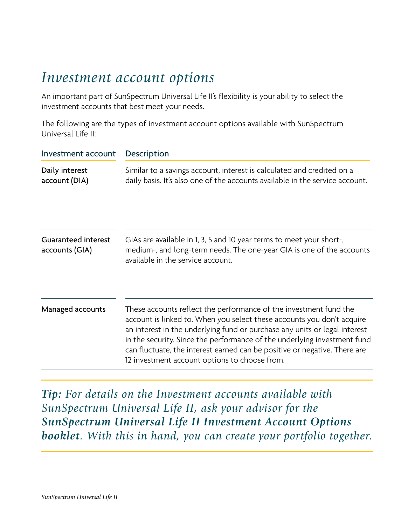### *Investment account options*

An important part of SunSpectrum Universal Life II's flexibility is your ability to select the investment accounts that best meet your needs.

The following are the types of investment account options available with SunSpectrum Universal Life II:

| Investment account                    | Description                                                                                                                                                                                                                                                                                                                                                                                                                         |  |
|---------------------------------------|-------------------------------------------------------------------------------------------------------------------------------------------------------------------------------------------------------------------------------------------------------------------------------------------------------------------------------------------------------------------------------------------------------------------------------------|--|
| Daily interest<br>account (DIA)       | Similar to a savings account, interest is calculated and credited on a<br>daily basis. It's also one of the accounts available in the service account.                                                                                                                                                                                                                                                                              |  |
| Guaranteed interest<br>accounts (GIA) | GIAs are available in 1, 3, 5 and 10 year terms to meet your short-,<br>medium-, and long-term needs. The one-year GIA is one of the accounts<br>available in the service account.                                                                                                                                                                                                                                                  |  |
| Managed accounts                      | These accounts reflect the performance of the investment fund the<br>account is linked to. When you select these accounts you don't acquire<br>an interest in the underlying fund or purchase any units or legal interest<br>in the security. Since the performance of the underlying investment fund<br>can fluctuate, the interest earned can be positive or negative. There are<br>12 investment account options to choose from. |  |

*Tip: For details on the Investment accounts available with SunSpectrum Universal Life II, ask your advisor for the SunSpectrum Universal Life II Investment Account Options booklet. With this in hand, you can create your portfolio together.*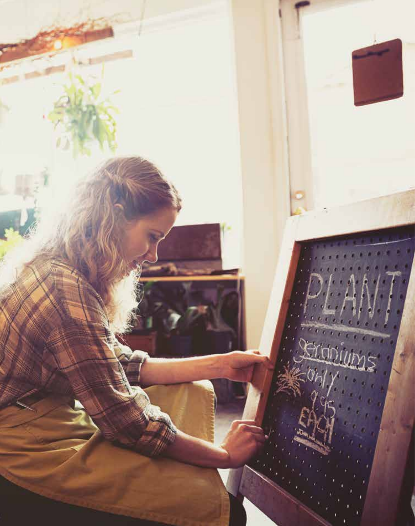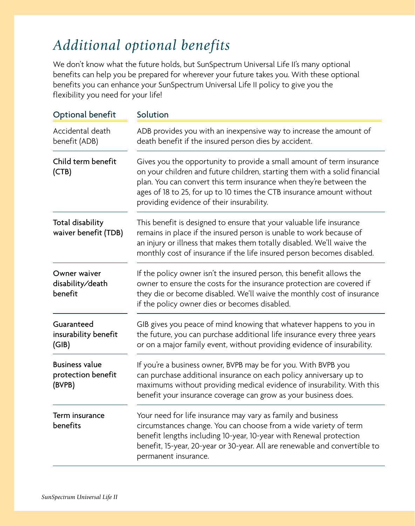### *Additional optional benefits*

We don't know what the future holds, but SunSpectrum Universal Life II's many optional benefits can help you be prepared for wherever your future takes you. With these optional benefits you can enhance your SunSpectrum Universal Life II policy to give you the flexibility you need for your life!

| Optional benefit                                      | Solution                                                                                                                                                                                                                                                                                                                                        |
|-------------------------------------------------------|-------------------------------------------------------------------------------------------------------------------------------------------------------------------------------------------------------------------------------------------------------------------------------------------------------------------------------------------------|
| Accidental death<br>benefit (ADB)                     | ADB provides you with an inexpensive way to increase the amount of<br>death benefit if the insured person dies by accident.                                                                                                                                                                                                                     |
| Child term benefit<br>(CTB)                           | Gives you the opportunity to provide a small amount of term insurance<br>on your children and future children, starting them with a solid financial<br>plan. You can convert this term insurance when they're between the<br>ages of 18 to 25, for up to 10 times the CTB insurance amount without<br>providing evidence of their insurability. |
| Total disability<br>waiver benefit (TDB)              | This benefit is designed to ensure that your valuable life insurance<br>remains in place if the insured person is unable to work because of<br>an injury or illness that makes them totally disabled. We'll waive the<br>monthly cost of insurance if the life insured person becomes disabled.                                                 |
| Owner waiver<br>disability/death<br>benefit           | If the policy owner isn't the insured person, this benefit allows the<br>owner to ensure the costs for the insurance protection are covered if<br>they die or become disabled. We'll waive the monthly cost of insurance<br>if the policy owner dies or becomes disabled.                                                                       |
| Guaranteed<br>insurability benefit<br>(GIB)           | GIB gives you peace of mind knowing that whatever happens to you in<br>the future, you can purchase additional life insurance every three years<br>or on a major family event, without providing evidence of insurability.                                                                                                                      |
| <b>Business value</b><br>protection benefit<br>(BVPB) | If you're a business owner, BVPB may be for you. With BVPB you<br>can purchase additional insurance on each policy anniversary up to<br>maximums without providing medical evidence of insurability. With this<br>benefit your insurance coverage can grow as your business does.                                                               |
| Term insurance<br>benefits                            | Your need for life insurance may vary as family and business<br>circumstances change. You can choose from a wide variety of term<br>benefit lengths including 10-year, 10-year with Renewal protection<br>benefit, 15-year, 20-year or 30-year. All are renewable and convertible to<br>permanent insurance.                                    |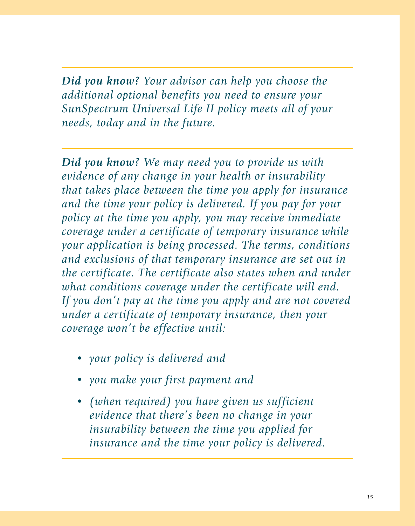*Did you know? Your advisor can help you choose the additional optional benefits you need to ensure your SunSpectrum Universal Life II policy meets all of your needs, today and in the future.*

*Did you know? We may need you to provide us with evidence of any change in your health or insurability that takes place between the time you apply for insurance and the time your policy is delivered. If you pay for your policy at the time you apply, you may receive immediate coverage under a certificate of temporary insurance while your application is being processed. The terms, conditions and exclusions of that temporary insurance are set out in the certificate. The certificate also states when and under what conditions coverage under the certificate will end. If you don't pay at the time you apply and are not covered under a certificate of temporary insurance, then your coverage won't be effective until:* 

- *• your policy is delivered and*
- *• you make your first payment and*
- *• (when required) you have given us sufficient evidence that there's been no change in your insurability between the time you applied for insurance and the time your policy is delivered.*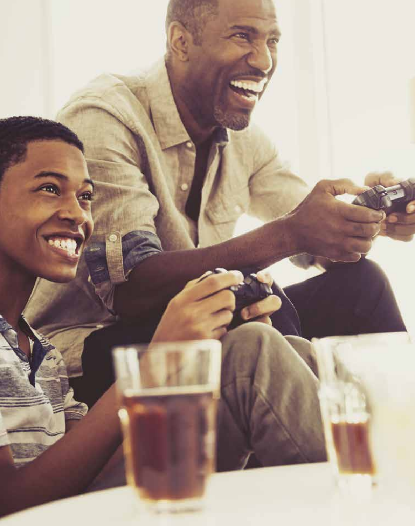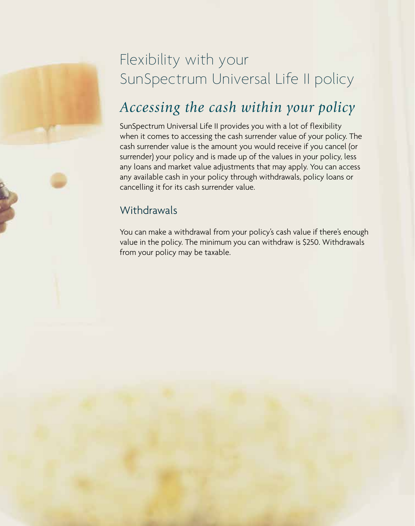# Flexibility with your SunSpectrum Universal Life II policy

### *Accessing the cash within your policy*

SunSpectrum Universal Life II provides you with a lot of flexibility when it comes to accessing the cash surrender value of your policy. The cash surrender value is the amount you would receive if you cancel (or surrender) your policy and is made up of the values in your policy, less any loans and market value adjustments that may apply. You can access any available cash in your policy through withdrawals, policy loans or cancelling it for its cash surrender value.

#### **Withdrawals**

You can make a withdrawal from your policy's cash value if there's enough value in the policy. The minimum you can withdraw is \$250. Withdrawals from your policy may be taxable.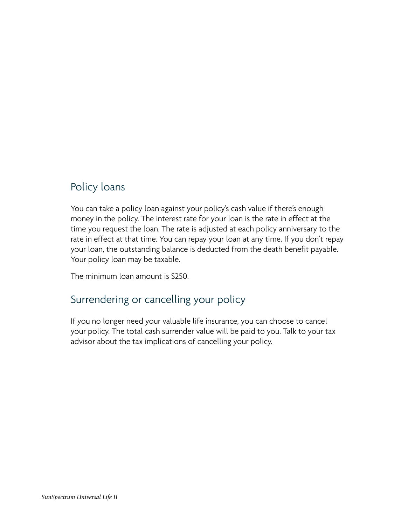#### Policy loans

You can take a policy loan against your policy's cash value if there's enough money in the policy. The interest rate for your loan is the rate in effect at the time you request the loan. The rate is adjusted at each policy anniversary to the rate in effect at that time. You can repay your loan at any time. If you don't repay your loan, the outstanding balance is deducted from the death benefit payable. Your policy loan may be taxable.

The minimum loan amount is \$250.

#### Surrendering or cancelling your policy

If you no longer need your valuable life insurance, you can choose to cancel your policy. The total cash surrender value will be paid to you. Talk to your tax advisor about the tax implications of cancelling your policy.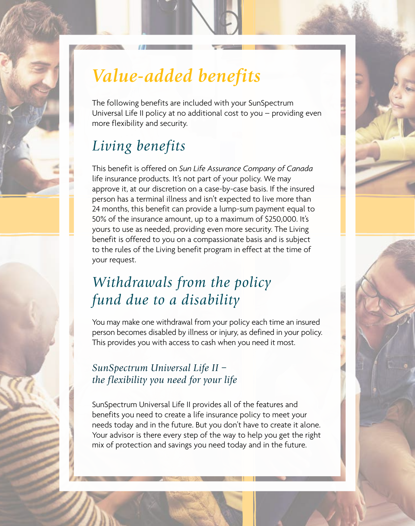# *Value-added benefits*

The following benefits are included with your SunSpectrum Universal Life II policy at no additional cost to you – providing even more flexibility and security.

## *Living benefits*

This benefit is offered on *Sun Life Assurance Company of Canada*  life insurance products. It's not part of your policy. We may approve it, at our discretion on a case-by-case basis. If the insured person has a terminal illness and isn't expected to live more than 24 months, this benefit can provide a lump-sum payment equal to 50% of the insurance amount, up to a maximum of \$250,000. It's yours to use as needed, providing even more security. The Living benefit is offered to you on a compassionate basis and is subject to the rules of the Living benefit program in effect at the time of your request.

### *Withdrawals from the policy fund due to a disability*

You may make one withdrawal from your policy each time an insured person becomes disabled by illness or injury, as defined in your policy. This provides you with access to cash when you need it most.

#### *SunSpectrum Universal Life II – the flexibility you need for your life*

SunSpectrum Universal Life II provides all of the features and benefits you need to create a life insurance policy to meet your needs today and in the future. But you don't have to create it alone. Your advisor is there every step of the way to help you get the right mix of protection and savings you need today and in the future.